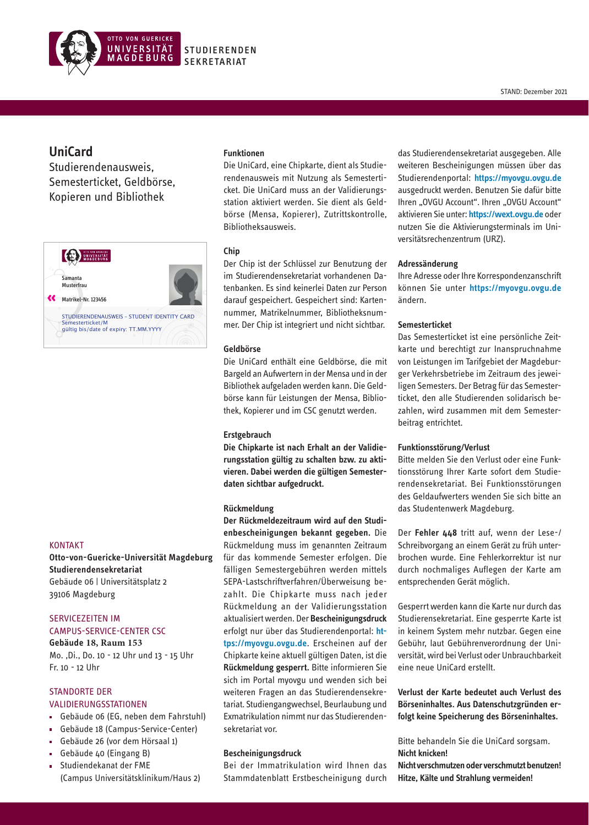

# **UniCard**

Studierendenausweis, Semesterticket, Geldbörse, Kopieren und Bibliothek



## KONTAKT

**Otto-von-Guericke-Universität Magdeburg Studierendensekretariat** Gebäude 06 | Universitätsplatz 2 39106 Magdeburg

# SERVICEZEITEN IM CAMPUS-SERVICE-CENTER CSC

**Gebäude 18, Raum 153** Mo. ,Di., Do. 10 - 12 Uhr und 13 - 15 Uhr Fr. 10 - 12 Uhr

# STANDORTE DER

- VALIDIERUNGSSTATIONEN
- Gebäude 06 (EG, neben dem Fahrstuhl)
- Gebäude 18 (Campus-Service-Center)
- Gebäude 26 (vor dem Hörsaal 1)
- Gebäude 40 (Eingang B)
- $\blacksquare$ Studiendekanat der FME (Campus Universitätsklinikum/Haus 2)

### **Funktionen**

Die UniCard, eine Chipkarte, dient als Studierendenausweis mit Nutzung als Semesterticket. Die UniCard muss an der Validierungsstation aktiviert werden. Sie dient als Geldbörse (Mensa, Kopierer), Zutrittskontrolle, Bibliotheksausweis.

## **Chip**

Der Chip ist der Schlüssel zur Benutzung der im Studierendensekretariat vorhandenen Datenbanken. Es sind keinerlei Daten zur Person darauf gespeichert. Gespeichert sind: Kartennummer, Matrikelnummer, Bibliotheksnummer. Der Chip ist integriert und nicht sichtbar.

### **Geldbörse**

Die UniCard enthält eine Geldbörse, die mit Bargeld an Aufwertern in der Mensa und in der Bibliothek aufgeladen werden kann. Die Geldbörse kann für Leistungen der Mensa, Bibliothek, Kopierer und im CSC genutzt werden.

## **Erstgebrauch**

**Die Chipkarte ist nach Erhalt an der Validierungsstation gültig zu schalten bzw. zu aktivieren. Dabei werden die gültigen Semesterdaten sichtbar aufgedruckt.**

#### **Rückmeldung**

**Der Rückmeldezeitraum wird auf den Studienbescheinigungen bekannt gegeben.** Die Rückmeldung muss im genannten Zeitraum für das kommende Semester erfolgen. Die fälligen Semestergebühren werden mittels SEPA-Lastschriftverfahren/Überweisung bezahlt. Die Chipkarte muss nach jeder Rückmeldung an der Validierungsstation aktualisiert werden. Der **Bescheinigungsdruck** erfolgt nur über das Studierendenportal: **https://myovgu.ovgu.de**. Erscheinen auf der Chipkarte keine aktuell gültigen Daten, ist die **Rückmeldung gesperrt.** Bitte informieren Sie sich im Portal myovgu und wenden sich bei weiteren Fragen an das Studierendensekretariat. Studiengangwechsel, Beurlaubung und Exmatrikulation nimmt nur das Studierendensekretariat vor.

### **Bescheinigungsdruck**

Bei der Immatrikulation wird Ihnen das Stammdatenblatt Erstbescheinigung durch

das Studierendensekretariat ausgegeben. Alle weiteren Bescheinigungen müssen über das Studierendenportal: **https://myovgu.ovgu.de** ausgedruckt werden. Benutzen Sie dafür bitte Ihren "OVGU Account". Ihren "OVGU Account" aktivieren Sie unter: **https://wext.ovgu.de** oder nutzen Sie die Aktivierungsterminals im Universitätsrechenzentrum (URZ).

## **Adressänderung**

Ihre Adresse oder Ihre Korrespondenzanschrift können Sie unter **https://myovgu.ovgu.de** ändern.

## **Semesterticket**

Das Semesterticket ist eine persönliche Zeitkarte und berechtigt zur Inanspruchnahme von Leistungen im Tarifgebiet der Magdeburger Verkehrsbetriebe im Zeitraum des jeweiligen Semesters. Der Betrag für das Semesterticket, den alle Studierenden solidarisch bezahlen, wird zusammen mit dem Semesterbeitrag entrichtet.

### **Funktionsstörung/Verlust**

Bitte melden Sie den Verlust oder eine Funktionsstörung Ihrer Karte sofort dem Studierendensekretariat. Bei Funktionsstörungen des Geldaufwerters wenden Sie sich bitte an das Studentenwerk Magdeburg.

Der **Fehler 448** tritt auf, wenn der Lese-/ Schreibvorgang an einem Gerät zu früh unterbrochen wurde. Eine Fehlerkorrektur ist nur durch nochmaliges Auflegen der Karte am entsprechenden Gerät möglich.

Gesperrt werden kann die Karte nur durch das Studierensekretariat. Eine gesperrte Karte ist in keinem System mehr nutzbar. Gegen eine Gebühr, laut Gebührenverordnung der Universität, wird bei Verlust oder Unbrauchbarkeit eine neue UniCard erstellt.

**Verlust der Karte bedeutet auch Verlust des Börseninhaltes. Aus Datenschutzgründen erfolgt keine Speicherung des Börseninhaltes.**

Bitte behandeln Sie die UniCard sorgsam. **Nicht knicken!**

**Nicht verschmutzen oder verschmutzt benutzen! Hitze, Kälte und Strahlung vermeiden!**